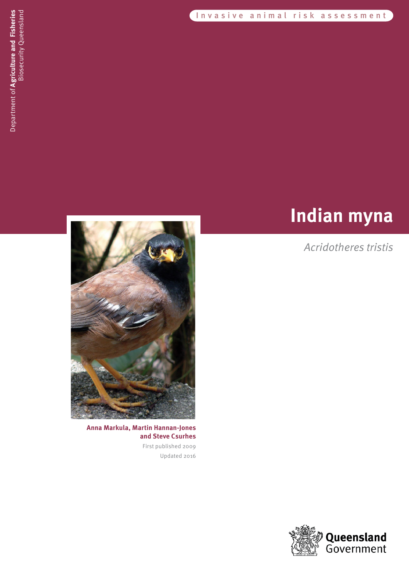Invasive animal risk assessment

# **Indian myna**

# *Acridotheres tristis*



**Anna Markula, Martin Hannan-Jones and Steve Csurhes** First published 2009

Updated 2016

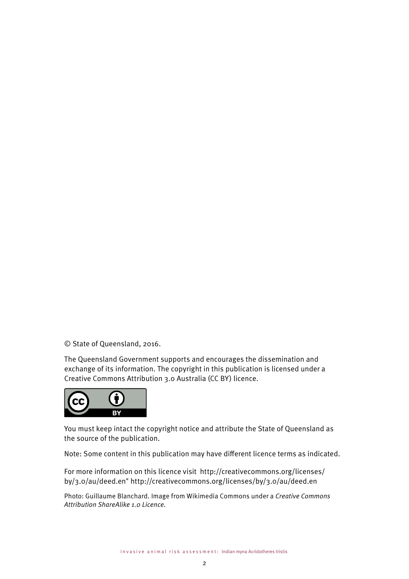© State of Queensland, 2016.

The Queensland Government supports and encourages the dissemination and exchange of its information. The copyright in this publication is licensed under a Creative Commons Attribution 3.0 Australia (CC BY) licence.



You must keep intact the copyright notice and attribute the State of Queensland as the source of the publication.

Note: Some content in this publication may have different licence terms as indicated.

For more information on this licence visit [http://creativecommons.org/licenses/](The Queensland Government supports and encourages the dissemination and exchange of its information. The copyright in this publication is licensed under a Creative Commons Attribution 3.0 Australia (CC BY) licence.  [Creative Commons logo must appear here and can be found in:  File:\\Creative Solutions\STANDARD ELEMENTS\Logo artwork\OTHER\Creative Commons]  Under this licence you are free, without having to seek permission from DEEDI, to use this publication in accordance with the licence terms.   You must keep intact the copyright notice and attribute the State of Queensland, Department of Employment, Economic Development and Innovation as the source of the publication.   Note: Some content in this publication may have different licence terms as indicated.   For more information on this licence visit  HYPERLINK "http://creativecommons.org/licenses/by/3.0/au/deed.en" http://creativecommons.org/licenses/by/3.0/au/deed.en ) [by/3.0/au/deed.en" http://creativecommons.org/licenses/by/3.0/au/deed.en](The Queensland Government supports and encourages the dissemination and exchange of its information. The copyright in this publication is licensed under a Creative Commons Attribution 3.0 Australia (CC BY) licence.  [Creative Commons logo must appear here and can be found in:  File:\\Creative Solutions\STANDARD ELEMENTS\Logo artwork\OTHER\Creative Commons]  Under this licence you are free, without having to seek permission from DEEDI, to use this publication in accordance with the licence terms.   You must keep intact the copyright notice and attribute the State of Queensland, Department of Employment, Economic Development and Innovation as the source of the publication.   Note: Some content in this publication may have different licence terms as indicated.   For more information on this licence visit  HYPERLINK "http://creativecommons.org/licenses/by/3.0/au/deed.en" http://creativecommons.org/licenses/by/3.0/au/deed.en )

Photo: Guillaume Blanchard. Image from Wikimedia Commons under a *Creative Commons Attribution ShareAlike 1.0 Licence.*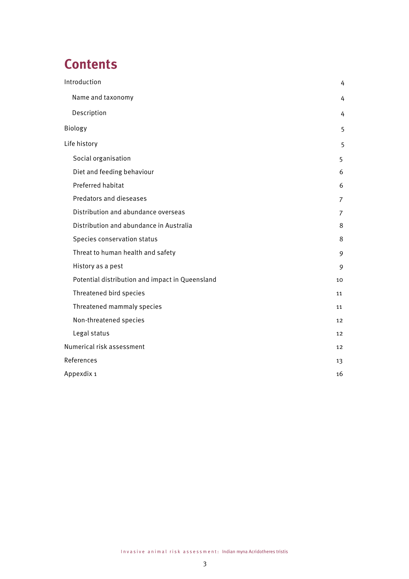# **Contents**

| Introduction                                    | 4              |
|-------------------------------------------------|----------------|
| Name and taxonomy                               | 4              |
| Description                                     | 4              |
| Biology                                         | 5              |
| Life history                                    | 5              |
| Social organisation                             | 5              |
| Diet and feeding behaviour                      | 6              |
| Preferred habitat                               | 6              |
| Predators and dieseases                         | $\overline{7}$ |
| Distribution and abundance overseas             | 7              |
| Distribution and abundance in Australia         | 8              |
| Species conservation status                     | 8              |
| Threat to human health and safety               | 9              |
| History as a pest                               | 9              |
| Potential distribution and impact in Queensland | 10             |
| Threatened bird species                         | 11             |
| Threatened mammaly species                      | 11             |
| Non-threatened species                          | 12             |
| Legal status                                    | 12             |
| Numerical risk assessment                       | 12             |
| References                                      | 13             |
| Appexdix 1                                      | 16             |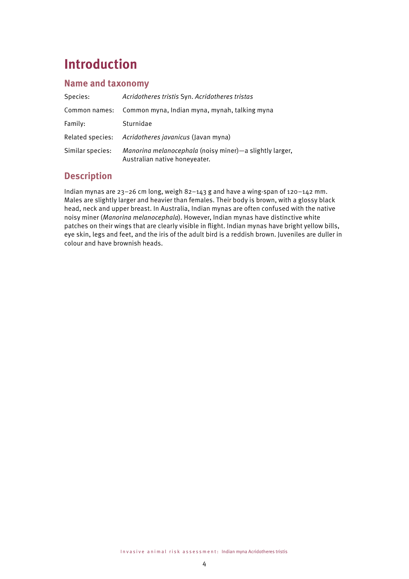# **Introduction**

### **Name and taxonomy**

| Species:         | Acridotheres tristis Syn. Acridotheres tristas                                           |
|------------------|------------------------------------------------------------------------------------------|
| Common names:    | Common myna, Indian myna, mynah, talking myna                                            |
| Family:          | Sturnidae                                                                                |
| Related species: | Acridotheres javanicus (Javan myna)                                                      |
| Similar species: | Manorina melanocephala (noisy miner)-a slightly larger,<br>Australian native honeyeater. |

## **Description**

Indian mynas are 23–26 cm long, weigh 82–143 g and have a wing-span of 120–142 mm. Males are slightly larger and heavier than females. Their body is brown, with a glossy black head, neck and upper breast. In Australia, Indian mynas are often confused with the native noisy miner (*Manorina melanocephala*). However, Indian mynas have distinctive white patches on their wings that are clearly visible in flight. Indian mynas have bright yellow bills, eye skin, legs and feet, and the iris of the adult bird is a reddish brown. Juveniles are duller in colour and have brownish heads.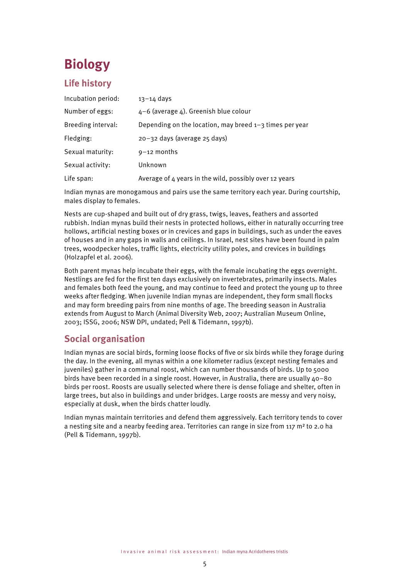# **Biology**

### **Life history**

| Incubation period: | $13 - 14$ days                                            |
|--------------------|-----------------------------------------------------------|
| Number of eggs:    | $4-6$ (average 4). Greenish blue colour                   |
| Breeding interval: | Depending on the location, may breed $1-3$ times per year |
| Fledging:          | 20-32 days (average 25 days)                              |
| Sexual maturity:   | $9-12$ months                                             |
| Sexual activity:   | Unknown                                                   |
| Life span:         | Average of 4 years in the wild, possibly over 12 years    |

Indian mynas are monogamous and pairs use the same territory each year. During courtship, males display to females.

Nests are cup-shaped and built out of dry grass, twigs, leaves, feathers and assorted rubbish. Indian mynas build their nests in protected hollows, either in naturally occurring tree hollows, artificial nesting boxes or in crevices and gaps in buildings, such as under the eaves of houses and in any gaps in walls and ceilings. In Israel, nest sites have been found in palm trees, woodpecker holes, traffic lights, electricity utility poles, and crevices in buildings (Holzapfel et al. 2006).

Both parent mynas help incubate their eggs, with the female incubating the eggs overnight. Nestlings are fed for the first ten days exclusively on invertebrates, primarily insects. Males and females both feed the young, and may continue to feed and protect the young up to three weeks after fledging. When juvenile Indian mynas are independent, they form small flocks and may form breeding pairs from nine months of age. The breeding season in Australia extends from August to March (Animal Diversity Web, 2007; Australian Museum Online, 2003; ISSG, 2006; NSW DPI, undated; Pell & Tidemann, 1997b).

### **Social organisation**

Indian mynas are social birds, forming loose flocks of five or six birds while they forage during the day. In the evening, all mynas within a one kilometer radius (except nesting females and juveniles) gather in a communal roost, which can number thousands of birds. Up to 5000 birds have been recorded in a single roost. However, in Australia, there are usually  $40-80$ birds per roost. Roosts are usually selected where there is dense foliage and shelter, often in large trees, but also in buildings and under bridges. Large roosts are messy and very noisy, especially at dusk, when the birds chatter loudly.

Indian mynas maintain territories and defend them aggressively. Each territory tends to cover a nesting site and a nearby feeding area. Territories can range in size from 117 m² to 2.0 ha (Pell & Tidemann, 1997b).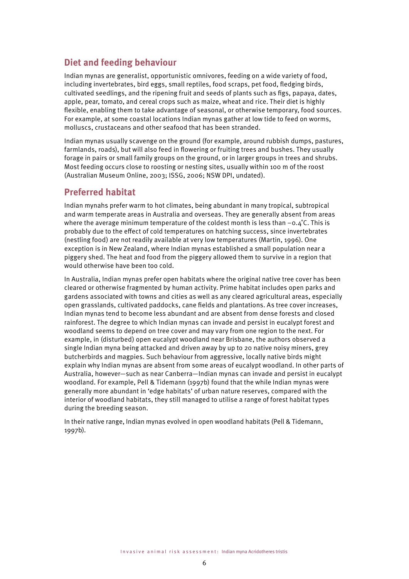#### **Diet and feeding behaviour**

Indian mynas are generalist, opportunistic omnivores, feeding on a wide variety of food, including invertebrates, bird eggs, small reptiles, food scraps, pet food, fledging birds, cultivated seedlings, and the ripening fruit and seeds of plants such as figs, papaya, dates, apple, pear, tomato, and cereal crops such as maize, wheat and rice. Their diet is highly flexible, enabling them to take advantage of seasonal, or otherwise temporary, food sources. For example, at some coastal locations Indian mynas gather at low tide to feed on worms, molluscs, crustaceans and other seafood that has been stranded.

Indian mynas usually scavenge on the ground (for example, around rubbish dumps, pastures, farmlands, roads), but will also feed in flowering or fruiting trees and bushes. They usually forage in pairs or small family groups on the ground, or in larger groups in trees and shrubs. Most feeding occurs close to roosting or nesting sites, usually within 100 m of the roost (Australian Museum Online, 2003; ISSG, 2006; NSW DPI, undated).

#### **Preferred habitat**

Indian mynahs prefer warm to hot climates, being abundant in many tropical, subtropical and warm temperate areas in Australia and overseas. They are generally absent from areas where the average minimum temperature of the coldest month is less than  $-0.4$ °C. This is probably due to the effect of cold temperatures on hatching success, since invertebrates (nestling food) are not readily available at very low temperatures (Martin, 1996). One exception is in New Zealand, where Indian mynas established a small population near a piggery shed. The heat and food from the piggery allowed them to survive in a region that would otherwise have been too cold.

In Australia, Indian mynas prefer open habitats where the original native tree cover has been cleared or otherwise fragmented by human activity. Prime habitat includes open parks and gardens associated with towns and cities as well as any cleared agricultural areas, especially open grasslands, cultivated paddocks, cane fields and plantations. As tree cover increases, Indian mynas tend to become less abundant and are absent from dense forests and closed rainforest. The degree to which Indian mynas can invade and persist in eucalypt forest and woodland seems to depend on tree cover and may vary from one region to the next. For example, in (disturbed) open eucalypt woodland near Brisbane, the authors observed a single Indian myna being attacked and driven away by up to 20 native noisy miners, grey butcherbirds and magpies. Such behaviour from aggressive, locally native birds might explain why Indian mynas are absent from some areas of eucalypt woodland. In other parts of Australia, however—such as near Canberra—Indian mynas can invade and persist in eucalypt woodland. For example, Pell & Tidemann (1997b) found that the while Indian mynas were generally more abundant in 'edge habitats' of urban nature reserves, compared with the interior of woodland habitats, they still managed to utilise a range of forest habitat types during the breeding season.

In their native range, Indian mynas evolved in open woodland habitats (Pell & Tidemann, 1997b).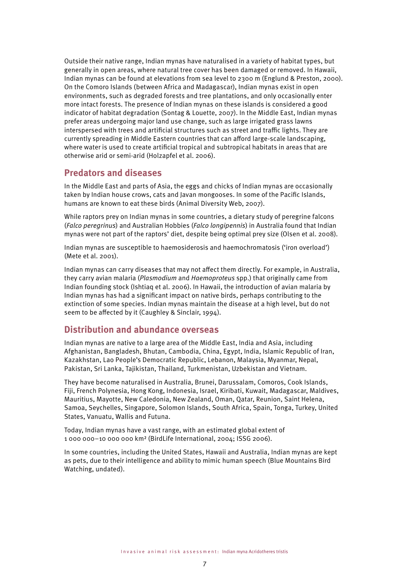Outside their native range, Indian mynas have naturalised in a variety of habitat types, but generally in open areas, where natural tree cover has been damaged or removed. In Hawaii, Indian mynas can be found at elevations from sea level to 2300 m (Englund & Preston, 2000). On the Comoro Islands (between Africa and Madagascar), Indian mynas exist in open environments, such as degraded forests and tree plantations, and only occasionally enter more intact forests. The presence of Indian mynas on these islands is considered a good indicator of habitat degradation (Sontag & Louette, 2007). In the Middle East, Indian mynas prefer areas undergoing major land use change, such as large irrigated grass lawns interspersed with trees and artificial structures such as street and traffic lights. They are currently spreading in Middle Eastern countries that can afford large-scale landscaping, where water is used to create artificial tropical and subtropical habitats in areas that are otherwise arid or semi-arid (Holzapfel et al. 2006).

#### **Predators and diseases**

In the Middle East and parts of Asia, the eggs and chicks of Indian mynas are occasionally taken by Indian house crows, cats and Javan mongooses. In some of the Pacific Islands, humans are known to eat these birds (Animal Diversity Web, 2007).

While raptors prey on Indian mynas in some countries, a dietary study of peregrine falcons (*Falco peregrinus*) and Australian Hobbies (*Falco longipennis*) in Australia found that Indian mynas were not part of the raptors' diet, despite being optimal prey size (Olsen et al. 2008).

Indian mynas are susceptible to haemosiderosis and haemochromatosis ('iron overload') (Mete et al. 2001).

Indian mynas can carry diseases that may not affect them directly. For example, in Australia, they carry avian malaria (*Plasmodium* and *Haemoproteus* spp.) that originally came from Indian founding stock (Ishtiaq et al. 2006). In Hawaii, the introduction of avian malaria by Indian mynas has had a significant impact on native birds, perhaps contributing to the extinction of some species. Indian mynas maintain the disease at a high level, but do not seem to be affected by it (Caughley & Sinclair, 1994).

#### **Distribution and abundance overseas**

Indian mynas are native to a large area of the Middle East, India and Asia, including Afghanistan, Bangladesh, Bhutan, Cambodia, China, Egypt, India, Islamic Republic of Iran, Kazakhstan, Lao People's Democratic Republic, Lebanon, Malaysia, Myanmar, Nepal, Pakistan, Sri Lanka, Tajikistan, Thailand, Turkmenistan, Uzbekistan and Vietnam.

They have become naturalised in Australia, Brunei, Darussalam, Comoros, Cook Islands, Fiji, French Polynesia, Hong Kong, Indonesia, Israel, Kiribati, Kuwait, Madagascar, Maldives, Mauritius, Mayotte, New Caledonia, New Zealand, Oman, Qatar, Reunion, Saint Helena, Samoa, Seychelles, Singapore, Solomon Islands, South Africa, Spain, Tonga, Turkey, United States, Vanuatu, Wallis and Futuna.

Today, Indian mynas have a vast range, with an estimated global extent of 1 000 000–10 000 000 km² (BirdLife International, 2004; ISSG 2006).

In some countries, including the United States, Hawaii and Australia, Indian mynas are kept as pets, due to their intelligence and ability to mimic human speech (Blue Mountains Bird Watching, undated).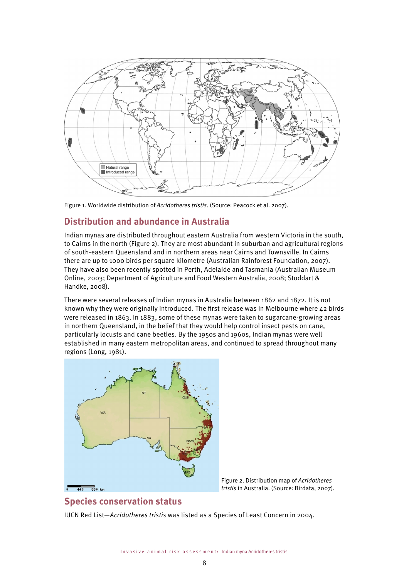

Figure 1. Worldwide distribution of *Acridotheres tristis*. (Source: Peacock et al. 2007).

## **Distribution and abundance in Australia**

Indian mynas are distributed throughout eastern Australia from western Victoria in the south, to Cairns in the north (Figure 2). They are most abundant in suburban and agricultural regions of south-eastern Queensland and in northern areas near Cairns and Townsville. In Cairns there are up to 1000 birds per square kilometre (Australian Rainforest Foundation, 2007). They have also been recently spotted in Perth, Adelaide and Tasmania (Australian Museum Online, 2003; Department of Agriculture and Food Western Australia, 2008; Stoddart & Handke, 2008).

There were several releases of Indian mynas in Australia between 1862 and 1872. It is not known why they were originally introduced. The first release was in Melbourne where 42 birds were released in 1863. In 1883, some of these mynas were taken to sugarcane-growing areas in northern Queensland, in the belief that they would help control insect pests on cane, particularly locusts and cane beetles. By the 1950s and 1960s, Indian mynas were well established in many eastern metropolitan areas, and continued to spread throughout many regions (Long, 1981).



Figure 2. Distribution map of *Acridotheres tristis* in Australia. (Source: Birdata, 2007).

# **Species conservation status**

IUCN Red List—*Acridotheres tristis* was listed as a Species of Least Concern in 2004.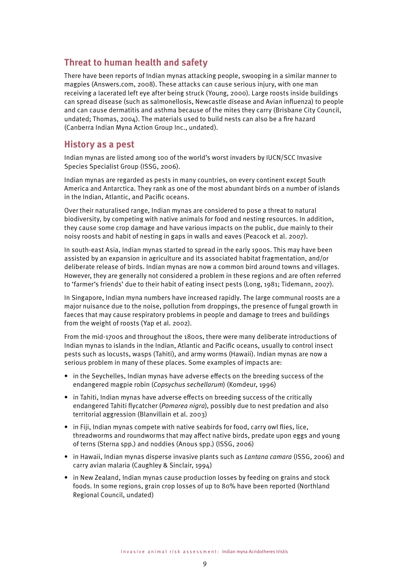### **Threat to human health and safety**

There have been reports of Indian mynas attacking people, swooping in a similar manner to magpies (Answers.com, 2008). These attacks can cause serious injury, with one man receiving a lacerated left eye after being struck (Young, 2000). Large roosts inside buildings can spread disease (such as salmonellosis, Newcastle disease and Avian influenza) to people and can cause dermatitis and asthma because of the mites they carry (Brisbane City Council, undated; Thomas, 2004). The materials used to build nests can also be a fire hazard (Canberra Indian Myna Action Group Inc., undated).

#### **History as a pest**

Indian mynas are listed among 100 of the world's worst invaders by IUCN/SCC Invasive Species Specialist Group (ISSG, 2006).

Indian mynas are regarded as pests in many countries, on every continent except South America and Antarctica. They rank as one of the most abundant birds on a number of islands in the Indian, Atlantic, and Pacific oceans.

Over their naturalised range, Indian mynas are considered to pose a threat to natural biodiversity, by competing with native animals for food and nesting resources. In addition, they cause some crop damage and have various impacts on the public, due mainly to their noisy roosts and habit of nesting in gaps in walls and eaves (Peacock et al. 2007).

In south-east Asia, Indian mynas started to spread in the early 1900s. This may have been assisted by an expansion in agriculture and its associated habitat fragmentation, and/or deliberate release of birds. Indian mynas are now a common bird around towns and villages. However, they are generally not considered a problem in these regions and are often referred to 'farmer's friends' due to their habit of eating insect pests (Long, 1981; Tidemann, 2007).

In Singapore, Indian myna numbers have increased rapidly. The large communal roosts are a major nuisance due to the noise, pollution from droppings, the presence of fungal growth in faeces that may cause respiratory problems in people and damage to trees and buildings from the weight of roosts (Yap et al. 2002).

From the mid-1700s and throughout the 1800s, there were many deliberate introductions of Indian mynas to islands in the Indian, Atlantic and Pacific oceans, usually to control insect pests such as locusts, wasps (Tahiti), and army worms (Hawaii). Indian mynas are now a serious problem in many of these places. Some examples of impacts are:

- in the Seychelles, Indian mynas have adverse effects on the breeding success of the endangered magpie robin (*Copsychus sechellarum*) (Komdeur, 1996)
- in Tahiti, Indian mynas have adverse effects on breeding success of the critically endangered Tahiti flycatcher (*Pomarea nigra*), possibly due to nest predation and also territorial aggression (Blanvillain et al. 2003)
- in Fiji, Indian mynas compete with native seabirds for food, carry owl flies, lice, threadworms and roundworms that may affect native birds, predate upon eggs and young of terns (Sterna spp.) and noddies (Anous spp.) (ISSG, 2006)
- in Hawaii, Indian mynas disperse invasive plants such as *Lantana camara* (ISSG, 2006) and carry avian malaria (Caughley & Sinclair, 1994)
- in New Zealand, Indian mynas cause production losses by feeding on grains and stock foods. In some regions, grain crop losses of up to 80% have been reported (Northland Regional Council, undated)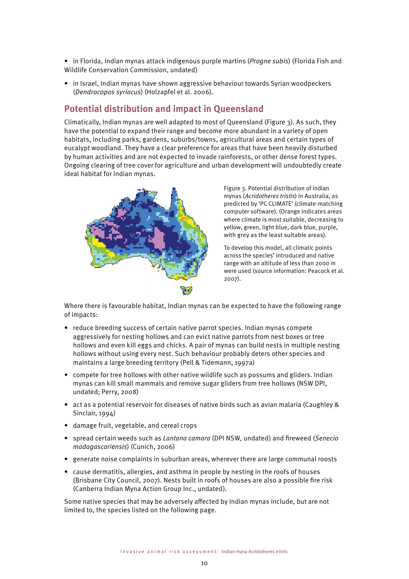- in Florida, Indian mynas attack indigenous purple martins (*Progne subis*) (Florida Fish and Wildlife Conservation Commission, undated)
- in Israel, Indian mynas have shown aggressive behaviour towards Syrian woodpeckers (*Dendrocopos syriacus*) (Holzapfel et al. 2006).

### **Potential distribution and impact in Queensland**

Climatically, Indian mynas are well adapted to most of Queensland (Figure 3). As such, they have the potential to expand their range and become more abundant in a variety of open habitats, including parks, gardens, suburbs/towns, agricultural areas and certain types of eucalypt woodland. They have a clear preference for areas that have been heavily disturbed by human activities and are not expected to invade rainforests, or other dense forest types. Ongoing clearing of tree cover for agriculture and urban development will undoubtedly create ideal habitat for Indian mynas.



Figure 3. Potential distribution of Indian mynas (*Acridotheres tristis*) in Australia, as predicted by 'PC CLIMATE' (climate-matching computer software). (Orange indicates areas where climate is most suitable, decreasing to yellow, green, light blue, dark blue, purple, with grey as the least suitable areas).

To develop this model, all climatic points across the species' introduced and native range with an altitude of less than 2000 m were used (source information: Peacock et al. 2007).

Where there is favourable habitat, Indian mynas can be expected to have the following range of impacts:

- reduce breeding success of certain native parrot species. Indian mynas compete aggressively for nesting hollows and can evict native parrots from nest boxes or tree hollows and even kill eggs and chicks. A pair of mynas can build nests in multiple nesting hollows without using every nest. Such behaviour probably deters other species and maintains a large breeding territory (Pell & Tidemann, 1997a)
- compete for tree hollows with other native wildlife such as possums and gliders. Indian mynas can kill small mammals and remove sugar gliders from tree hollows (NSW DPI, undated; Perry, 2008)
- act as a potential reservoir for diseases of native birds such as avian malaria (Caughley & Sinclair, 1994)
- damage fruit, vegetable, and cereal crops
- spread certain weeds such as *Lantana camara* (DPI NSW, undated) and fireweed (*Senecio madagascariensis*) (Cunich, 2006)
- generate noise complaints in suburban areas, wherever there are large communal roosts
- cause dermatitis, allergies, and asthma in people by nesting in the roofs of houses (Brisbane City Council, 2007). Nests built in roofs of houses are also a possible fire risk (Canberra Indian Myna Action Group Inc., undated).

Some native species that may be adversely affected by Indian mynas include, but are not limited to, the species listed on the following page.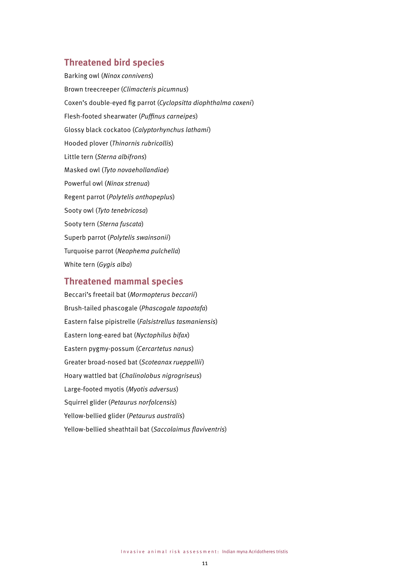#### **Threatened bird species**

Barking owl (*Ninox connivens*) Brown treecreeper (*Climacteris picumnus*) Coxen's double-eyed fig parrot (*Cyclopsitta diophthalma coxeni*) Flesh-footed shearwater (*Puffinus carneipes*) Glossy black cockatoo (*Calyptorhynchus lathami*) Hooded plover (*Thinornis rubricollis*) Little tern (*Sterna albifrons*) Masked owl (*Tyto novaehollandiae*) Powerful owl (*Ninox strenua*) Regent parrot (*Polytelis anthopeplus*) Sooty owl (*Tyto tenebricosa*) Sooty tern (*Sterna fuscata*) Superb parrot (*Polytelis swainsonii*) Turquoise parrot (*Neophema pulchella*) White tern (*Gygis alba*)

#### **Threatened mammal species**

Beccari's freetail bat (*Mormopterus beccarii*) Brush-tailed phascogale (*Phascogale tapoatafa*) Eastern false pipistrelle (*Falsistrellus tasmaniensis*) Eastern long-eared bat (*Nyctophilus bifax*) Eastern pygmy-possum (*Cercartetus nanus*) Greater broad-nosed bat (*Scoteanax rueppellii*) Hoary wattled bat (*Chalinolobus nigrogriseus*) Large-footed myotis (*Myotis adversus*) Squirrel glider (*Petaurus norfolcensis*) Yellow-bellied glider (*Petaurus australis*) Yellow-bellied sheathtail bat (*Saccolaimus flaviventris*)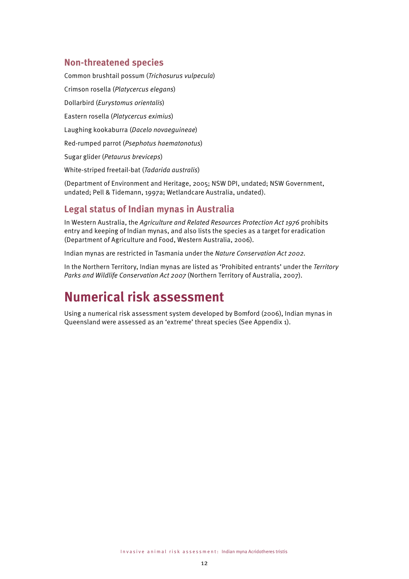### **Non-threatened species**

Common brushtail possum (*Trichosurus vulpecula*) Crimson rosella (*Platycercus elegans*) Dollarbird (*Eurystomus orientalis*) Eastern rosella (*Platycercus eximius*) Laughing kookaburra (*Dacelo novaeguineae*) Red-rumped parrot (*Psephotus haematonotus*) Sugar glider (*Petaurus breviceps*) White-striped freetail-bat (*Tadarida australis*)

(Department of Environment and Heritage, 2005; NSW DPI, undated; NSW Government, undated; Pell & Tidemann, 1997a; Wetlandcare Australia, undated).

### **Legal status of Indian mynas in Australia**

In Western Australia, the *Agriculture and Related Resources Protection Act 1976* prohibits entry and keeping of Indian mynas, and also lists the species as a target for eradication (Department of Agriculture and Food, Western Australia, 2006).

Indian mynas are restricted in Tasmania under the *Nature Conservation Act 2002.* 

In the Northern Territory, Indian mynas are listed as 'Prohibited entrants' under the *Territory Parks and Wildlife Conservation Act 2007* (Northern Territory of Australia, 2007).

# **Numerical risk assessment**

Using a numerical risk assessment system developed by Bomford (2006), Indian mynas in Queensland were assessed as an 'extreme' threat species (See Appendix 1).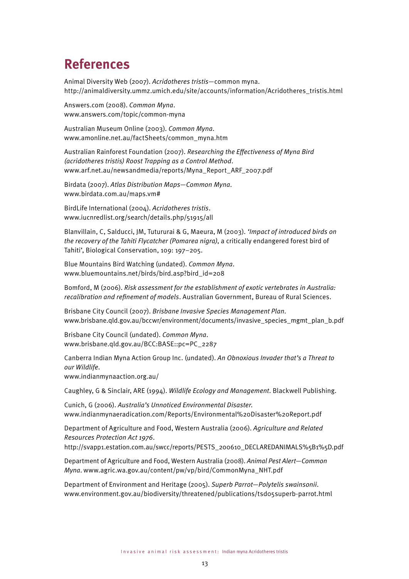# **References**

Animal Diversity Web (2007). *Acridotheres tristis*—common myna. http://animaldiversity.ummz.umich.edu/site/accounts/information/Acridotheres\_tristis.html

Answers.com (2008). *Common Myna*. www.answers.com/topic/common-myna

Australian Museum Online (2003). *Common Myna*. www.amonline.net.au/factSheets/common\_myna.htm

Australian Rainforest Foundation (2007). *Researching the Effectiveness of Myna Bird (acridotheres tristis) Roost Trapping as a Control Method*. www.arf.net.au/newsandmedia/reports/Myna\_Report\_ARF\_2007.pdf

Birdata (2007). *Atlas Distribution Maps—Common Myna*. www.birdata.com.au/maps.vm#

BirdLife International (2004). *Acridotheres tristis*. www.iucnredlist.org/search/details.php/51915/all

Blanvillain, C, Salducci, JM, Tutururai & G, Maeura, M (2003). *'Impact of introduced birds on the recovery of the Tahiti Flycatcher (Pomarea nigra)*, a critically endangered forest bird of Tahiti', Biological Conservation, 109: 197–205.

Blue Mountains Bird Watching (undated). *Common Myna*. www.bluemountains.net/birds/bird.asp?bird\_id=208

Bomford, M (2006). *Risk assessment for the establishment of exotic vertebrates in Australia: recalibration and refinement of models*. Australian Government, Bureau of Rural Sciences.

Brisbane City Council (2007). *Brisbane Invasive Species Management Plan*. www.brisbane.qld.gov.au/bccwr/environment/documents/invasive\_species\_mgmt\_plan\_b.pdf

Brisbane City Council (undated). *Common Myna*. www.brisbane.qld.gov.au/BCC:BASE::pc=PC\_2287

Canberra Indian Myna Action Group Inc. (undated). *An Obnoxious Invader that's a Threat to our Wildlife*.

www.indianmynaaction.org.au/

Caughley, G & Sinclair, ARE (1994). *Wildlife Ecology and Management*. Blackwell Publishing.

Cunich, G (2006). *Australia's Unnoticed Environmental Disaster*. www.indianmynaeradication.com/Reports/Environmental%20Disaster%20Report.pdf

Department of Agriculture and Food, Western Australia (2006). *Agriculture and Related Resources Protection Act 1976*.

http://svapp1.estation.com.au/swcc/reports/PESTS\_200610\_DECLAREDANIMALS%5B1%5D.pdf

Department of Agriculture and Food, Western Australia (2008). *Animal Pest Alert—Common Myna*. www.agric.wa.gov.au/content/pw/vp/bird/CommonMyna\_NHT.pdf

Department of Environment and Heritage (2005). *Superb Parrot—Polytelis swainsonii*. www.environment.gov.au/biodiversity/threatened/publications/tsd05superb-parrot.html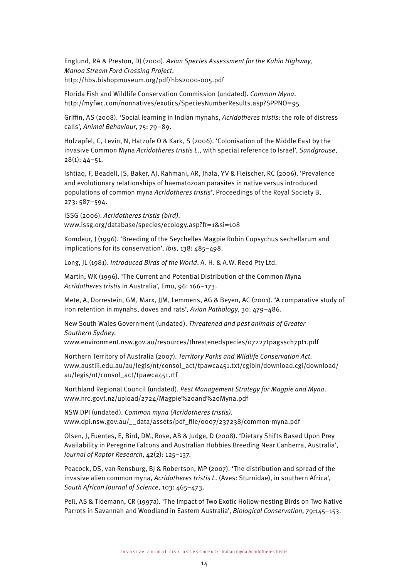Englund, RA & Preston, DJ (2000). *Avian Species Assessment for the Kuhio Highway, Manoa Stream Ford Crossing Project*. http://hbs.bishopmuseum.org/pdf/hbs2000-005.pdf

Florida Fish and Wildlife Conservation Commission (undated). *Common Myna*. http://myfwc.com/nonnatives/exotics/SpeciesNumberResults.asp?SPPNO=95

Griffin, AS (2008). 'Social learning in Indian mynahs, *Acridotheres tristis*: the role of distress calls', *Animal Behaviour*, 75: 79–89.

Holzapfel, C, Levin, N, Hatzofe O & Kark, S (2006). 'Colonisation of the Middle East by the invasive Common Myna *Acridotheres tristis L*., with special reference to Israel', *Sandgrouse*,  $28(1): 44-51.$ 

Ishtiaq, F, Beadell, JS, Baker, AJ, Rahmani, AR, Jhala, YV & Fleischer, RC (2006). 'Prevalence and evolutionary relationships of haematozoan parasites in native versus introduced populations of common myna *Acridotheres tristis*', Proceedings of the Royal Society B, 273: 587–594.

ISSG (2006). *Acridotheres tristis (bird)*. www.issg.org/database/species/ecology.asp?fr=1&si=108

Komdeur, J (1996). 'Breeding of the Seychelles Magpie Robin Copsychus sechellarum and implications for its conservation', *Ibis*, 138: 485–498.

Long, JL (1981). *Introduced Birds of the World*. A. H. & A.W. Reed Pty Ltd.

Martin, WK (1996). 'The Current and Potential Distribution of the Common Myna *Acridotheres tristis* in Australia', Emu, 96: 166–173.

Mete, A, Dorrestein, GM, Marx, JJM, Lemmens, AG & Beyen, AC (2001). 'A comparative study of iron retention in mynahs, doves and rats', *Avian Pathology*, 30: 479–486.

New South Wales Government (undated). *Threatened and pest animals of Greater Southern Sydney*.

www.environment.nsw.gov.au/resources/threatenedspecies/07227tpagssch7pt1.pdf

Northern Territory of Australia (2007). *Territory Parks and Wildlife Conservation Act*. www.austlii.edu.au/au/legis/nt/consol\_act/tpawca451.txt/cgibin/download.cgi/download/ au/legis/nt/consol\_act/tpawca451.rtf

Northland Regional Council (undated). *Pest Management Strategy for Magpie and Myna*. www.nrc.govt.nz/upload/2724/Magpie%20and%20Myna.pdf

NSW DPI (undated). *Common myna (Acridotheres tristis)*. www.dpi.nsw.gov.au/\_\_data/assets/pdf\_file/0007/237238/common-myna.pdf

Olsen, J, Fuentes, E, Bird, DM, Rose, AB & Judge, D (2008). 'Dietary Shifts Based Upon Prey Availability in Peregrine Falcons and Australian Hobbies Breeding Near Canberra, Australia', *Journal of Raptor Research*, 42(2): 125–137.

Peacock, DS, van Rensburg, BJ & Robertson, MP (2007). 'The distribution and spread of the invasive alien common myna, *Acridotheres tristis L*. (Aves: Sturnidae), in southern Africa', *South African Journal of Science*, 103: 465–473.

Pell, AS & Tidemann, CR (1997a). 'The Impact of Two Exotic Hollow-nesting Birds on Two Native Parrots in Savannah and Woodland in Eastern Australia', *Biological Conservation*, 79:145–153.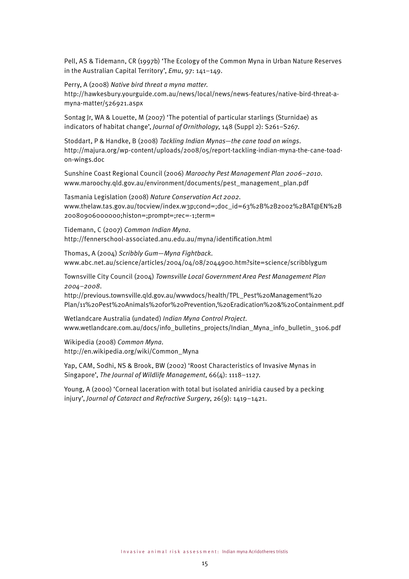Pell, AS & Tidemann, CR (1997b) 'The Ecology of the Common Myna in Urban Nature Reserves in the Australian Capital Territory', *Emu*, 97: 141–149.

Perry, A (2008) *Native bird threat a myna matter*.

http://hawkesbury.yourguide.com.au/news/local/news/news-features/native-bird-threat-amyna-matter/526921.aspx

Sontag Jr, WA & Louette, M (2007) 'The potential of particular starlings (Sturnidae) as indicators of habitat change', *Journal of Ornithology*, 148 (Suppl 2): S261–S267.

Stoddart, P & Handke, B (2008) *Tackling Indian Mynas—the cane toad on wings*. http://majura.org/wp-content/uploads/2008/05/report-tackling-indian-myna-the-cane-toadon-wings.doc

Sunshine Coast Regional Council (2006) *Maroochy Pest Management Plan 2006–2010.* www.maroochy.qld.gov.au/environment/documents/pest\_management\_plan.pdf

Tasmania Legislation (2008) *Nature Conservation Act 2002*. www.thelaw.tas.gov.au/tocview/index.w3p;cond=;doc\_id=63%2B%2B2002%2BAT@EN%2B 20080906000000;histon=;prompt=;rec=-1;term=

Tidemann, C (2007) *Common Indian Myna*. http://fennerschool-associated.anu.edu.au/myna/identification.html

Thomas, A (2004) *Scribbly Gum—Myna Fightback*. www.abc.net.au/science/articles/2004/04/08/2044900.htm?site=science/scribblygum

Townsville City Council (2004) *Townsville Local Government Area Pest Management Plan 2004–2008*.

http://previous.townsville.qld.gov.au/wwwdocs/health/TPL\_Pest%20Management%20 Plan/11%20Pest%20Animals%20for%20Prevention,%20Eradication%20&%20Containment.pdf

Wetlandcare Australia (undated) *Indian Myna Control Project*. www.wetlandcare.com.au/docs/info\_bulletins\_projects/Indian\_Myna\_info\_bulletin\_3106.pdf

Wikipedia (2008) *Common Myna*. http://en.wikipedia.org/wiki/Common\_Myna

Yap, CAM, Sodhi, NS & Brook, BW (2002) 'Roost Characteristics of Invasive Mynas in Singapore', *The Journal of Wildlife Management*, 66(4): 1118–1127.

Young, A (2000) 'Corneal laceration with total but isolated aniridia caused by a pecking injury', *Journal of Cataract and Refractive Surgery*, 26(9): 1419–1421.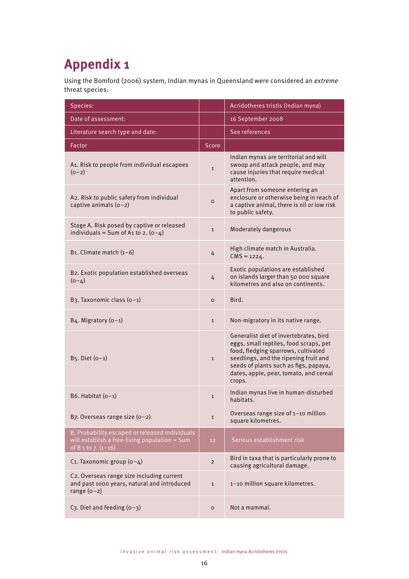# **Appendix 1**

Using the Bomford (2006) system, Indian mynas in Queensland were considered an *extreme* threat species.

| Species:                                                                                                                   |                | Acridotheres tristis (Indian myna)                                                                                                                                                                                                                            |
|----------------------------------------------------------------------------------------------------------------------------|----------------|---------------------------------------------------------------------------------------------------------------------------------------------------------------------------------------------------------------------------------------------------------------|
| Date of assessment:                                                                                                        |                | 16 September 2008                                                                                                                                                                                                                                             |
| Literature search type and date:                                                                                           |                | See references                                                                                                                                                                                                                                                |
| Factor                                                                                                                     | <b>Score</b>   |                                                                                                                                                                                                                                                               |
| A1. Risk to people from individual escapees<br>$(0-2)$                                                                     | $\mathbf{1}$   | Indian mynas are territorial and will<br>swoop and attack people, and may<br>cause injuries that require medical<br>attention.                                                                                                                                |
| A2. Risk to public safety from individual<br>captive animals $(0-2)$                                                       | $\Omega$       | Apart from someone entering an<br>enclosure or otherwise being in reach of<br>a captive animal, there is nil or low risk<br>to public safety.                                                                                                                 |
| Stage A. Risk posed by captive or released<br>individuals = Sum of A1 to 2. $(0-4)$                                        | $\mathbf{1}$   | Moderately dangerous                                                                                                                                                                                                                                          |
| B <sub>1</sub> . Climate match $(1-6)$                                                                                     | 4              | High climate match in Australia.<br>$CMS = 1224.$                                                                                                                                                                                                             |
| B2. Exotic population established overseas<br>$(0-4)$                                                                      | 4              | Exotic populations are established<br>on islands larger than 50 000 square<br>kilometres and also on continents.                                                                                                                                              |
| B3. Taxonomic class (o-1)                                                                                                  | $\mathsf{o}$   | Bird.                                                                                                                                                                                                                                                         |
| B4. Migratory $(0-1)$                                                                                                      | $\mathbf{1}$   | Non-migratory in its native range.                                                                                                                                                                                                                            |
| $B_5$ . Diet $(0-1)$                                                                                                       | $\mathbf{1}$   | Generalist diet of invertebrates, bird<br>eggs, small reptiles, food scraps, pet<br>food, fledging sparrows, cultivated<br>seedlings, and the ripening fruit and<br>seeds of plants such as figs, papaya,<br>dates, apple, pear, tomato, and cereal<br>crops. |
| B6. Habitat $(o-1)$                                                                                                        | $\mathbf{1}$   | Indian mynas live in human-disturbed<br>habitats.                                                                                                                                                                                                             |
| B7. Overseas range size $(0-2)$                                                                                            | $\mathbf{1}$   | Overseas range size of 1-10 million<br>square kilometres.                                                                                                                                                                                                     |
| B. Probability escaped or released individuals<br>will establish a free-living population $=$ Sum<br>of B 1 to 7. $(1-16)$ | 12             | Serious establishment risk                                                                                                                                                                                                                                    |
| C1. Taxonomic group $(o-4)$                                                                                                | $\overline{2}$ | Bird in taxa that is particularly prone to<br>causing agricultural damage.                                                                                                                                                                                    |
| C2. Overseas range size including current<br>and past 1000 years, natural and introduced<br>range $(0-2)$                  | $\mathbf{1}$   | 1-10 million square kilometres.                                                                                                                                                                                                                               |
| C <sub>3</sub> . Diet and feeding $(0-3)$                                                                                  | $\mathbf O$    | Not a mammal.                                                                                                                                                                                                                                                 |